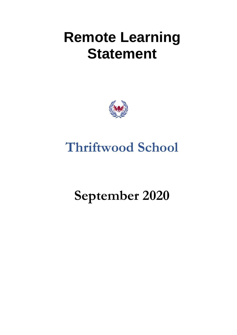# **Remote Learning Statement**



# **Thriftwood School**

# **September 2020**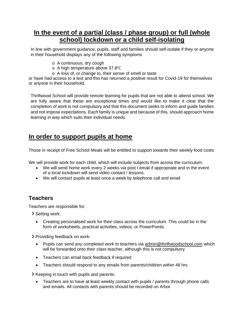### **In the event of a partial (class / phase group) or full (whole school) lockdown or a child self-isolating**

In line with government guidance, pupils, staff and families should self-isolate if they or anyone in their household displays any of the following symptoms

- o A continuous, dry cough
- o A high temperature above 37.8℃
- o A loss of, or change to, their sense of smell or taste

or have had access to a test and this has returned a positive result for Covid-19 for themselves or anyone in their household.

Thriftwood School will provide remote learning for pupils that are not able to attend school. We are fully aware that these are exceptional times and would like to make it clear that the completion of work is not compulsory and that this document seeks to inform and guide families and not impose expectations. Each family is unique and because of this, should approach home learning in way which suits their individual needs.

### **In order to support pupils at home**

Those in receipt of Free School Meals will be entitled to support towards their weekly food costs

We will provide work for each child, which will include subjects from across the curriculum.

- We will send home work every 2 weeks via post / email if appropriate and in the event of a local lockdown will send video contact / lessons.
- We will contact pupils at least once a week by telephone call and email

#### **Teachers**

Teachers are responsible for:

Setting work:

• Creating personalised work for their class across the curriculum. This could be in the form of worksheets, practical activities, videos, or PowerPoints.

**>** Providing feedback on work:

- Pupils can send any completed work to teachers via [admin@thriftwoodschool.com](mailto:admin@thriftwoodschool.com) which will be forwarded onto their class teacher, although this is not compulsory
- Teachers can email back feedback if required
- Teachers should respond to any emails from parents/children within 48 hrs

S Keeping in touch with pupils and parents:

• Teachers are to have at least weekly contact with pupils / parents through phone calls and emails. All contacts with parents should be recorded on Arbor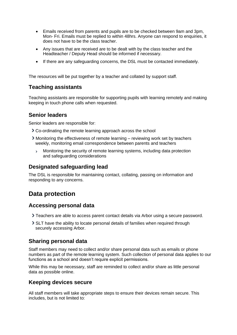- Emails received from parents and pupils are to be checked between 9am and 3pm, Mon- Fri. Emails must be replied to within 48hrs. Anyone can respond to enquiries, it does not have to be the class teacher.
- Any issues that are received are to be dealt with by the class teacher and the Headteacher / Deputy Head should be informed if necessary.
- If there are any safeguarding concerns, the DSL must be contacted immediately.

The resources will be put together by a teacher and collated by support staff.

#### **Teaching assistants**

Teaching assistants are responsible for supporting pupils with learning remotely and making keeping in touch phone calls when requested.

#### **Senior leaders**

Senior leaders are responsible for:

- Co-ordinating the remote learning approach across the school
- Monitoring the effectiveness of remote learning reviewing work set by teachers weekly, monitoring email correspondence between parents and teachers
	- $\overline{\phantom{0}}$ Monitoring the security of remote learning systems, including data protection and safeguarding considerations

#### **Designated safeguarding lead**

The DSL is responsible for maintaining contact, collating, passing on information and responding to any concerns.

### **Data protection**

#### **Accessing personal data**

- Teachers are able to access parent contact details via Arbor using a secure password.
- SLT have the ability to locate personal details of families when required through securely accessing Arbor.

#### **Sharing personal data**

Staff members may need to collect and/or share personal data such as emails or phone numbers as part of the remote learning system. Such collection of personal data applies to our functions as a school and doesn't require explicit permissions.

While this may be necessary, staff are reminded to collect and/or share as little personal data as possible online.

#### **Keeping devices secure**

All staff members will take appropriate steps to ensure their devices remain secure. This includes, but is not limited to: